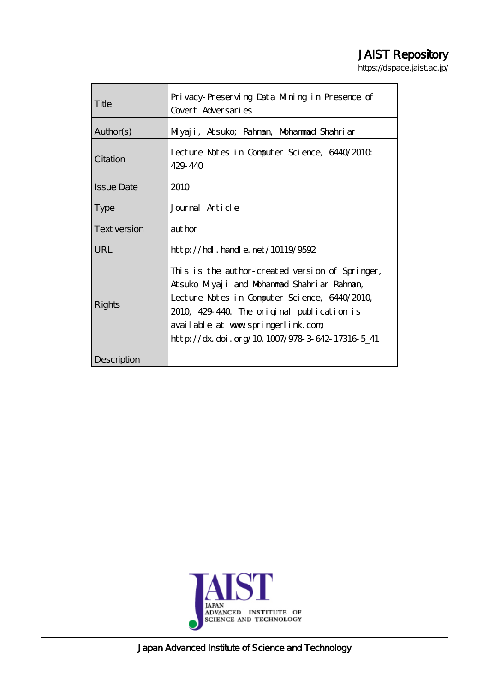# JAIST Repository

https://dspace.jaist.ac.jp/

| Title               | Privacy-Preserving Data Mining in Presence of<br>Covert Adversaries                                                                                                                                                                                                                   |
|---------------------|---------------------------------------------------------------------------------------------------------------------------------------------------------------------------------------------------------------------------------------------------------------------------------------|
| Author(s)           | Milyaji, Atsuko; Rahman, Mohammad Shahriar                                                                                                                                                                                                                                            |
| Citation            | Lecture Notes in Computer Science, 6440/2010<br>429 440                                                                                                                                                                                                                               |
| <b>Issue Date</b>   | 2010                                                                                                                                                                                                                                                                                  |
| <b>Type</b>         | Journal Article                                                                                                                                                                                                                                                                       |
| <b>Text version</b> | aut hor                                                                                                                                                                                                                                                                               |
| URL                 | $http$ // $hdl$ . handle. net/10119/9592                                                                                                                                                                                                                                              |
| Rights              | This is the author-created version of Springer,<br>Atsuko Milyaji and Mohanmad Shahriar Rahman,<br>Lecture Notes in Computer Science, 6440/2010,<br>2010, 429–440. The original publication is<br>available at www.springerlink.com<br>http://dx.doi.org/10.1007/978-3-642-17316-5_41 |
| Description         |                                                                                                                                                                                                                                                                                       |



Japan Advanced Institute of Science and Technology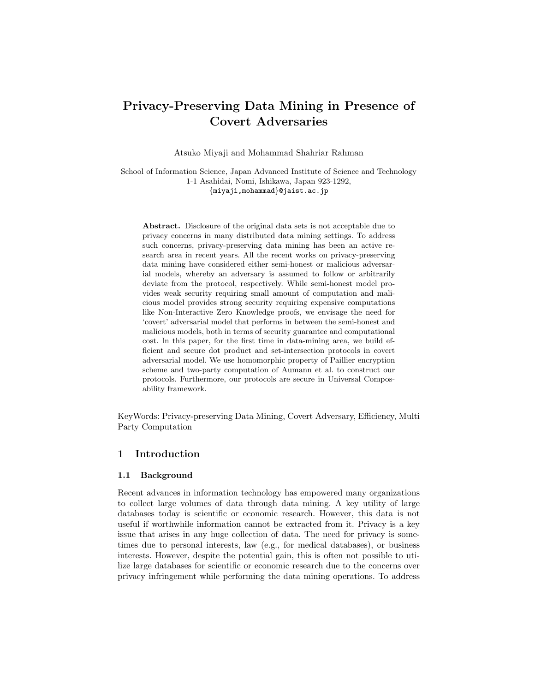## Privacy-Preserving Data Mining in Presence of Covert Adversaries

Atsuko Miyaji and Mohammad Shahriar Rahman

School of Information Science, Japan Advanced Institute of Science and Technology 1-1 Asahidai, Nomi, Ishikawa, Japan 923-1292, {miyaji,mohammad}@jaist.ac.jp

Abstract. Disclosure of the original data sets is not acceptable due to privacy concerns in many distributed data mining settings. To address such concerns, privacy-preserving data mining has been an active research area in recent years. All the recent works on privacy-preserving data mining have considered either semi-honest or malicious adversarial models, whereby an adversary is assumed to follow or arbitrarily deviate from the protocol, respectively. While semi-honest model provides weak security requiring small amount of computation and malicious model provides strong security requiring expensive computations like Non-Interactive Zero Knowledge proofs, we envisage the need for 'covert' adversarial model that performs in between the semi-honest and malicious models, both in terms of security guarantee and computational cost. In this paper, for the first time in data-mining area, we build efficient and secure dot product and set-intersection protocols in covert adversarial model. We use homomorphic property of Paillier encryption scheme and two-party computation of Aumann et al. to construct our protocols. Furthermore, our protocols are secure in Universal Composability framework.

KeyWords: Privacy-preserving Data Mining, Covert Adversary, Efficiency, Multi Party Computation

## 1 Introduction

#### 1.1 Background

Recent advances in information technology has empowered many organizations to collect large volumes of data through data mining. A key utility of large databases today is scientific or economic research. However, this data is not useful if worthwhile information cannot be extracted from it. Privacy is a key issue that arises in any huge collection of data. The need for privacy is sometimes due to personal interests, law (e.g., for medical databases), or business interests. However, despite the potential gain, this is often not possible to utilize large databases for scientific or economic research due to the concerns over privacy infringement while performing the data mining operations. To address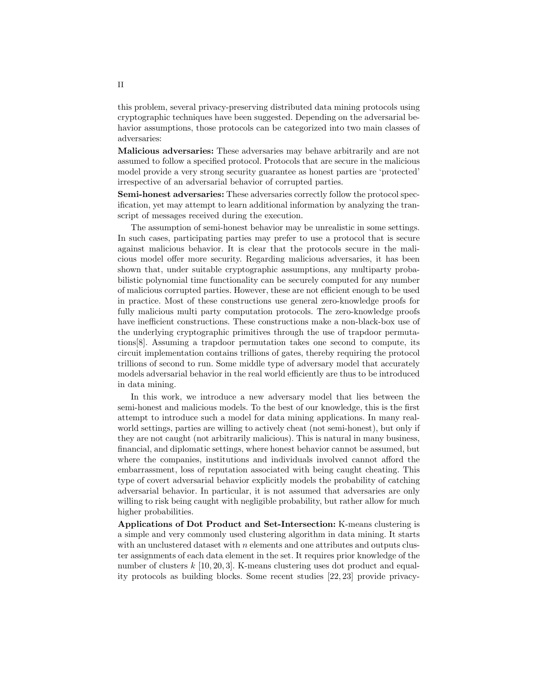this problem, several privacy-preserving distributed data mining protocols using cryptographic techniques have been suggested. Depending on the adversarial behavior assumptions, those protocols can be categorized into two main classes of adversaries:

Malicious adversaries: These adversaries may behave arbitrarily and are not assumed to follow a specified protocol. Protocols that are secure in the malicious model provide a very strong security guarantee as honest parties are 'protected' irrespective of an adversarial behavior of corrupted parties.

Semi-honest adversaries: These adversaries correctly follow the protocol specification, yet may attempt to learn additional information by analyzing the transcript of messages received during the execution.

The assumption of semi-honest behavior may be unrealistic in some settings. In such cases, participating parties may prefer to use a protocol that is secure against malicious behavior. It is clear that the protocols secure in the malicious model offer more security. Regarding malicious adversaries, it has been shown that, under suitable cryptographic assumptions, any multiparty probabilistic polynomial time functionality can be securely computed for any number of malicious corrupted parties. However, these are not efficient enough to be used in practice. Most of these constructions use general zero-knowledge proofs for fully malicious multi party computation protocols. The zero-knowledge proofs have inefficient constructions. These constructions make a non-black-box use of the underlying cryptographic primitives through the use of trapdoor permutations[8]. Assuming a trapdoor permutation takes one second to compute, its circuit implementation contains trillions of gates, thereby requiring the protocol trillions of second to run. Some middle type of adversary model that accurately models adversarial behavior in the real world efficiently are thus to be introduced in data mining.

In this work, we introduce a new adversary model that lies between the semi-honest and malicious models. To the best of our knowledge, this is the first attempt to introduce such a model for data mining applications. In many realworld settings, parties are willing to actively cheat (not semi-honest), but only if they are not caught (not arbitrarily malicious). This is natural in many business, financial, and diplomatic settings, where honest behavior cannot be assumed, but where the companies, institutions and individuals involved cannot afford the embarrassment, loss of reputation associated with being caught cheating. This type of covert adversarial behavior explicitly models the probability of catching adversarial behavior. In particular, it is not assumed that adversaries are only willing to risk being caught with negligible probability, but rather allow for much higher probabilities.

Applications of Dot Product and Set-Intersection: K-means clustering is a simple and very commonly used clustering algorithm in data mining. It starts with an unclustered dataset with  $n$  elements and one attributes and outputs cluster assignments of each data element in the set. It requires prior knowledge of the number of clusters k [10, 20, 3]. K-means clustering uses dot product and equality protocols as building blocks. Some recent studies [22, 23] provide privacy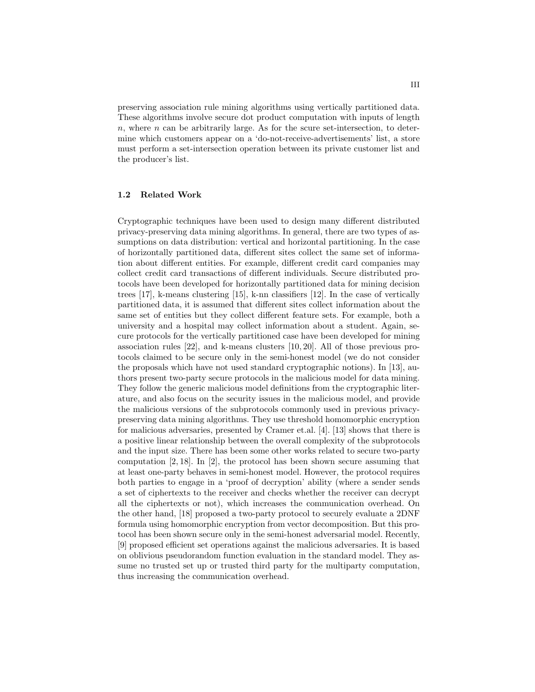preserving association rule mining algorithms using vertically partitioned data. These algorithms involve secure dot product computation with inputs of length  $n$ , where  $n$  can be arbitrarily large. As for the scure set-intersection, to determine which customers appear on a 'do-not-receive-advertisements' list, a store must perform a set-intersection operation between its private customer list and the producer's list.

#### 1.2 Related Work

Cryptographic techniques have been used to design many different distributed privacy-preserving data mining algorithms. In general, there are two types of assumptions on data distribution: vertical and horizontal partitioning. In the case of horizontally partitioned data, different sites collect the same set of information about different entities. For example, different credit card companies may collect credit card transactions of different individuals. Secure distributed protocols have been developed for horizontally partitioned data for mining decision trees [17], k-means clustering [15], k-nn classifiers [12]. In the case of vertically partitioned data, it is assumed that different sites collect information about the same set of entities but they collect different feature sets. For example, both a university and a hospital may collect information about a student. Again, secure protocols for the vertically partitioned case have been developed for mining association rules [22], and k-means clusters [10, 20]. All of those previous protocols claimed to be secure only in the semi-honest model (we do not consider the proposals which have not used standard cryptographic notions). In [13], authors present two-party secure protocols in the malicious model for data mining. They follow the generic malicious model definitions from the cryptographic literature, and also focus on the security issues in the malicious model, and provide the malicious versions of the subprotocols commonly used in previous privacypreserving data mining algorithms. They use threshold homomorphic encryption for malicious adversaries, presented by Cramer et.al. [4]. [13] shows that there is a positive linear relationship between the overall complexity of the subprotocols and the input size. There has been some other works related to secure two-party computation  $[2, 18]$ . In  $[2]$ , the protocol has been shown secure assuming that at least one-party behaves in semi-honest model. However, the protocol requires both parties to engage in a 'proof of decryption' ability (where a sender sends a set of ciphertexts to the receiver and checks whether the receiver can decrypt all the ciphertexts or not), which increases the communication overhead. On the other hand, [18] proposed a two-party protocol to securely evaluate a 2DNF formula using homomorphic encryption from vector decomposition. But this protocol has been shown secure only in the semi-honest adversarial model. Recently, [9] proposed efficient set operations against the malicious adversaries. It is based on oblivious pseudorandom function evaluation in the standard model. They assume no trusted set up or trusted third party for the multiparty computation, thus increasing the communication overhead.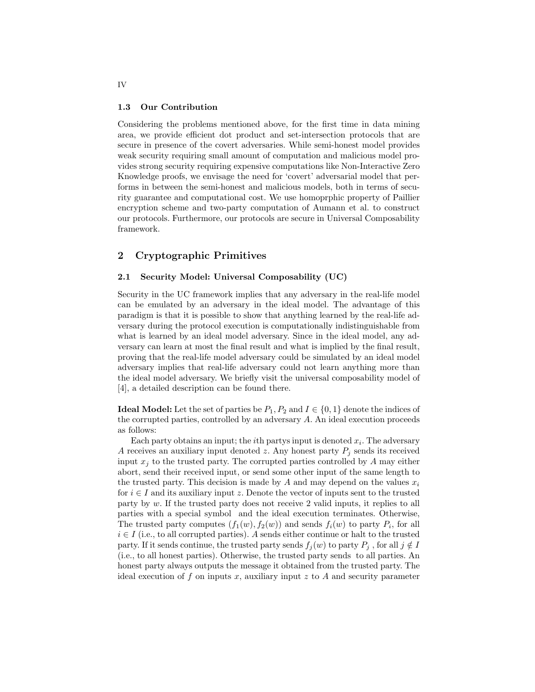#### 1.3 Our Contribution

Considering the problems mentioned above, for the first time in data mining area, we provide efficient dot product and set-intersection protocols that are secure in presence of the covert adversaries. While semi-honest model provides weak security requiring small amount of computation and malicious model provides strong security requiring expensive computations like Non-Interactive Zero Knowledge proofs, we envisage the need for 'covert' adversarial model that performs in between the semi-honest and malicious models, both in terms of security guarantee and computational cost. We use homoprphic property of Paillier encryption scheme and two-party computation of Aumann et al. to construct our protocols. Furthermore, our protocols are secure in Universal Composability framework.

## 2 Cryptographic Primitives

#### 2.1 Security Model: Universal Composability (UC)

Security in the UC framework implies that any adversary in the real-life model can be emulated by an adversary in the ideal model. The advantage of this paradigm is that it is possible to show that anything learned by the real-life adversary during the protocol execution is computationally indistinguishable from what is learned by an ideal model adversary. Since in the ideal model, any adversary can learn at most the final result and what is implied by the final result, proving that the real-life model adversary could be simulated by an ideal model adversary implies that real-life adversary could not learn anything more than the ideal model adversary. We briefly visit the universal composability model of [4], a detailed description can be found there.

**Ideal Model:** Let the set of parties be  $P_1, P_2$  and  $I \in \{0, 1\}$  denote the indices of the corrupted parties, controlled by an adversary A. An ideal execution proceeds as follows:

Each party obtains an input; the *i*<sup>th</sup> partys input is denoted  $x_i$ . The adversary A receives an auxiliary input denoted z. Any honest party  $P_j$  sends its received input  $x_i$  to the trusted party. The corrupted parties controlled by A may either abort, send their received input, or send some other input of the same length to the trusted party. This decision is made by A and may depend on the values  $x_i$ for  $i \in I$  and its auxiliary input z. Denote the vector of inputs sent to the trusted party by w. If the trusted party does not receive 2 valid inputs, it replies to all parties with a special symbol and the ideal execution terminates. Otherwise, The trusted party computes  $(f_1(w), f_2(w))$  and sends  $f_i(w)$  to party  $P_i$ , for all  $i \in I$  (i.e., to all corrupted parties). A sends either continue or halt to the trusted party. If it sends continue, the trusted party sends  $f_j(w)$  to party  $P_j$ , for all  $j \notin I$ (i.e., to all honest parties). Otherwise, the trusted party sends to all parties. An honest party always outputs the message it obtained from the trusted party. The ideal execution of f on inputs x, auxiliary input z to A and security parameter

IV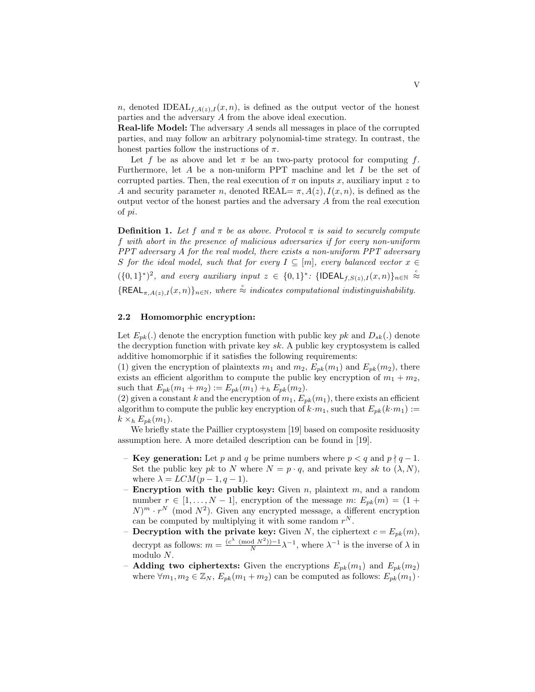n, denoted IDEAL $_{f,A(z),I}(x,n)$ , is defined as the output vector of the honest parties and the adversary A from the above ideal execution.

Real-life Model: The adversary A sends all messages in place of the corrupted parties, and may follow an arbitrary polynomial-time strategy. In contrast, the honest parties follow the instructions of  $\pi$ .

Let f be as above and let  $\pi$  be an two-party protocol for computing f. Furthermore, let A be a non-uniform PPT machine and let I be the set of corrupted parties. Then, the real execution of  $\pi$  on inputs x, auxiliary input z to A and security parameter n, denoted REAL=  $\pi$ ,  $A(z)$ ,  $I(x, n)$ , is defined as the output vector of the honest parties and the adversary A from the real execution of pi.

**Definition 1.** Let f and  $\pi$  be as above. Protocol  $\pi$  is said to securely compute f with abort in the presence of malicious adversaries if for every non-uniform PPT adversary A for the real model, there exists a non-uniform PPT adversary S for the ideal model, such that for every  $I \subseteq [m]$ , every balanced vector  $x \in$  $({0,1}^*)^2$ , and every auxiliary input  $z \in {0,1}^*$ :  ${\{\mathsf{IDEAL}}_{f,S(z),I}(x,n)\}_{n\in\mathbb{N}} \stackrel{\sim}{\approx}$  $\{\textsf{REAL}_{\pi,A(z),I}(x,n)\}_{n\in\mathbb{N}}$ , where  $\stackrel{\circ}{\approx}$  indicates computational indistinguishability.

#### 2.2 Homomorphic encryption:

Let  $E_{pk}(.)$  denote the encryption function with public key pk and  $D_{sk}(.)$  denote the decryption function with private key  $sk$ . A public key cryptosystem is called additive homomorphic if it satisfies the following requirements:

(1) given the encryption of plaintexts  $m_1$  and  $m_2$ ,  $E_{pk}(m_1)$  and  $E_{pk}(m_2)$ , there exists an efficient algorithm to compute the public key encryption of  $m_1 + m_2$ , such that  $E_{pk}(m_1 + m_2) := E_{pk}(m_1) + h E_{pk}(m_2)$ .

(2) given a constant k and the encryption of  $m_1, E_{pk}(m_1)$ , there exists an efficient algorithm to compute the public key encryption of  $k \cdot m_1$ , such that  $E_{pk}(k \cdot m_1) :=$  $k \times_h E_{pk}(m_1)$ .

We briefly state the Paillier cryptosystem [19] based on composite residuosity assumption here. A more detailed description can be found in [19].

- **Key generation:** Let p and q be prime numbers where  $p < q$  and  $p \nmid q-1$ . Set the public key pk to N where  $N = p \cdot q$ , and private key sk to  $(\lambda, N)$ , where  $\lambda = LCM(p-1, q-1)$ .
- Encryption with the public key: Given  $n$ , plaintext  $m$ , and a random number  $r \in [1, ..., N-1]$ , encryption of the message m:  $E_{pk}(m) = (1 +$  $(N)^m \cdot r^N$  (mod  $N^2$ ). Given any encrypted message, a different encryption can be computed by multiplying it with some random  $r^N$ .
- **Decryption with the private key:** Given N, the ciphertext  $c = E_{pk}(m)$ , decrypt as follows:  $m = \frac{(c^{\lambda} \pmod{N^2}) - 1}{N}$  $\frac{d(N^2)-1}{N}\lambda^{-1}$ , where  $\lambda^{-1}$  is the inverse of  $\lambda$  in modulo N.
- **Adding two ciphertexts:** Given the encryptions  $E_{pk}(m_1)$  and  $E_{pk}(m_2)$ where  $\forall m_1, m_2 \in \mathbb{Z}_N$ ,  $E_{pk}(m_1 + m_2)$  can be computed as follows:  $E_{pk}(m_1)$ .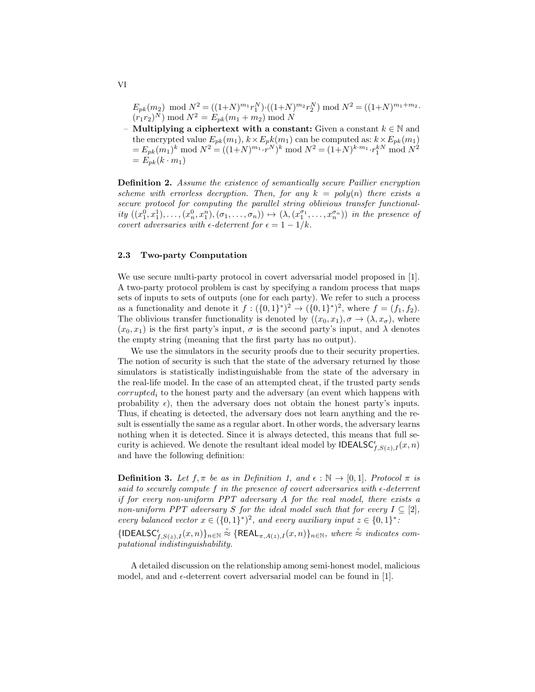$E_{pk}(m_2) \mod N^2 = ((1+N)^{m_1}r_1^N) \cdot ((1+N)^{m_2}r_2^N) \mod N^2 = ((1+N)^{m_1+m_2})$ .  $(r_1r_2)^N$  mod  $N^2 = E_{pk}(m_1 + m_2) \text{ mod } N$ 

Multiplying a ciphertext with a constant: Given a constant  $k \in \mathbb{N}$  and the encrypted value  $E_{pk}(m_1)$ ,  $k \times E_p k(m_1)$  can be computed as:  $k \times E_{pk}(m_1)$  $=E_{pk}(m_1)^k \mod N^2 = ((1+N)^{m_1} \cdot r^N)^k \mod N^2 = (1+N)^{k \cdot m_1} \cdot r_1^{kN} \mod N^2$  $= E_{pk}(k \cdot m_1)$ 

Definition 2. Assume the existence of semantically secure Paillier encryption scheme with errorless decryption. Then, for any  $k = poly(n)$  there exists a secure protocol for computing the parallel string oblivious transfer functionality  $((x_1^0, x_1^1),..., (x_n^0, x_1^n), (\sigma_1,..., \sigma_n)) \mapsto (\lambda, (x_1^{\sigma_1},..., x_n^{\sigma_n}))$  in the presence of covert adversaries with  $\epsilon$ -deterrent for  $\epsilon = 1 - 1/k$ .

#### 2.3 Two-party Computation

We use secure multi-party protocol in covert adversarial model proposed in [1]. A two-party protocol problem is cast by specifying a random process that maps sets of inputs to sets of outputs (one for each party). We refer to such a process as a functionality and denote it  $f: (\{0,1\}^*)^2 \to (\{0,1\}^*)^2$ , where  $f = (f_1, f_2)$ . The oblivious transfer functionality is denoted by  $((x_0, x_1), \sigma \rightarrow (\lambda, x_{\sigma})$ , where  $(x_0, x_1)$  is the first party's input,  $\sigma$  is the second party's input, and  $\lambda$  denotes the empty string (meaning that the first party has no output).

We use the simulators in the security proofs due to their security properties. The notion of security is such that the state of the adversary returned by those simulators is statistically indistinguishable from the state of the adversary in the real-life model. In the case of an attempted cheat, if the trusted party sends  $corrupted_i$  to the honest party and the adversary (an event which happens with probability  $\epsilon$ ), then the adversary does not obtain the honest party's inputs. Thus, if cheating is detected, the adversary does not learn anything and the result is essentially the same as a regular abort. In other words, the adversary learns nothing when it is detected. Since it is always detected, this means that full security is achieved. We denote the resultant ideal model by **IDEALSC**<sup> $\epsilon$ </sup>,  $S(z)$ ,  $I(x, n)$ and have the following definition:

**Definition 3.** Let  $f, \pi$  be as in Definition 1, and  $\epsilon : \mathbb{N} \to [0,1]$ . Protocol  $\pi$  is said to securely compute f in the presence of covert adversaries with  $\epsilon$ -deterrent if for every non-uniform PPT adversary A for the real model, there exists a non-uniform PPT adversary S for the ideal model such that for every  $I \subseteq [2]$ , every balanced vector  $x \in (\{0,1\}^*)^2$ , and every auxiliary input  $z \in \{0,1\}^*$ :

 $\{\mathsf{IDEALSC}_{f,S(z),I}^{\epsilon}(x,n)\}_{n\in\mathbb{N}} \stackrel{\circ}{\approx} \{\mathsf{REAL}_{\pi,A(z),I}(x,n)\}_{n\in\mathbb{N}}, \text{ where } \stackrel{\circ}{\approx} \text{ indicates com-}$ putational indistinguishability.

A detailed discussion on the relationship among semi-honest model, malicious model, and and  $\epsilon$ -deterrent covert adversarial model can be found in [1].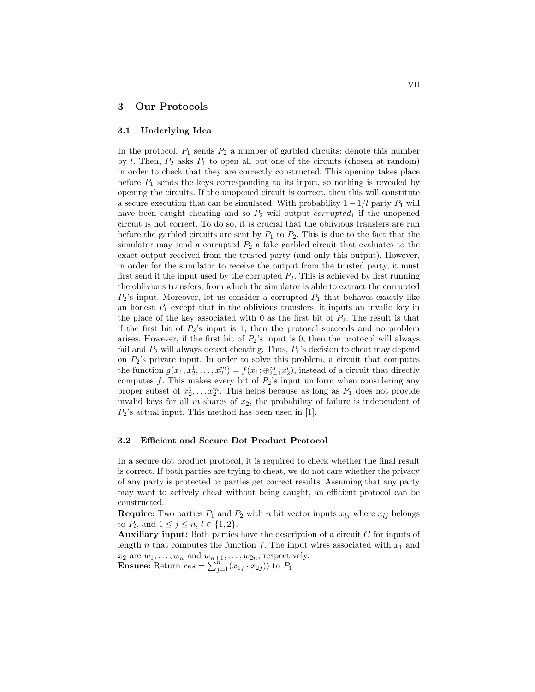## 3 Our Protocols

#### 3.1 Underlying Idea

In the protocol,  $P_1$  sends  $P_2$  a number of garbled circuits; denote this number by l. Then,  $P_2$  asks  $P_1$  to open all but one of the circuits (chosen at random) in order to check that they are correctly constructed. This opening takes place before  $P_1$  sends the keys corresponding to its input, so nothing is revealed by opening the circuits. If the unopened circuit is correct, then this will constitute a secure execution that can be simulated. With probability  $1 - 1/l$  party  $P_1$  will have been caught cheating and so  $P_2$  will output *corrupted*<sub>1</sub> if the unopened circuit is not correct. To do so, it is crucial that the oblivious transfers are run before the garbled circuits are sent by  $P_1$  to  $P_2$ . This is due to the fact that the simulator may send a corrupted  $P_2$  a fake garbled circuit that evaluates to the exact output received from the trusted party (and only this output). However, in order for the simulator to receive the output from the trusted party, it must first send it the input used by the corrupted  $P_2$ . This is achieved by first running the oblivious transfers, from which the simulator is able to extract the corrupted  $P_2$ 's input. Moreover, let us consider a corrupted  $P_1$  that behaves exactly like an honest  $P_1$  except that in the oblivious transfers, it inputs an invalid key in the place of the key associated with 0 as the first bit of  $P_2$ . The result is that if the first bit of  $P_2$ 's input is 1, then the protocol succeeds and no problem arises. However, if the first bit of  $P_2$ 's input is 0, then the protocol will always fail and  $P_2$  will always detect cheating. Thus,  $P_1$ 's decision to cheat may depend on  $P_2$ 's private input. In order to solve this problem, a circuit that computes the function  $g(x_1, x_2^1, \ldots, x_2^m) = f(x_1; \bigoplus_{i=1}^m x_2^i)$ , instead of a circuit that directly computes f. This makes every bit of  $P_2$ 's input uniform when considering any proper subset of  $x_2^1, \ldots, x_2^m$ . This helps because as long as  $P_1$  does not provide invalid keys for all  $m$  shares of  $x_2$ , the probability of failure is independent of  $P_2$ 's actual input. This method has been used in [1].

#### 3.2 Efficient and Secure Dot Product Protocol

In a secure dot product protocol, it is required to check whether the final result is correct. If both parties are trying to cheat, we do not care whether the privacy of any party is protected or parties get correct results. Assuming that any party may want to actively cheat without being caught, an efficient protocol can be constructed.

**Require:** Two parties  $P_1$  and  $P_2$  with n bit vector inputs  $x_{lj}$  where  $x_{lj}$  belongs to  $P_l$ , and  $1 \le j \le n, l \in \{1, 2\}$ .

Auxiliary input: Both parties have the description of a circuit C for inputs of length n that computes the function f. The input wires associated with  $x_1$  and  $x_2$  are  $w_1, \ldots, w_n$  and  $w_{n+1}, \ldots, w_{2n}$ , respectively.

**Ensure:** Return  $res = \sum_{j=1}^{n} (x_{1j} \cdot x_{2j})$  to  $P_1$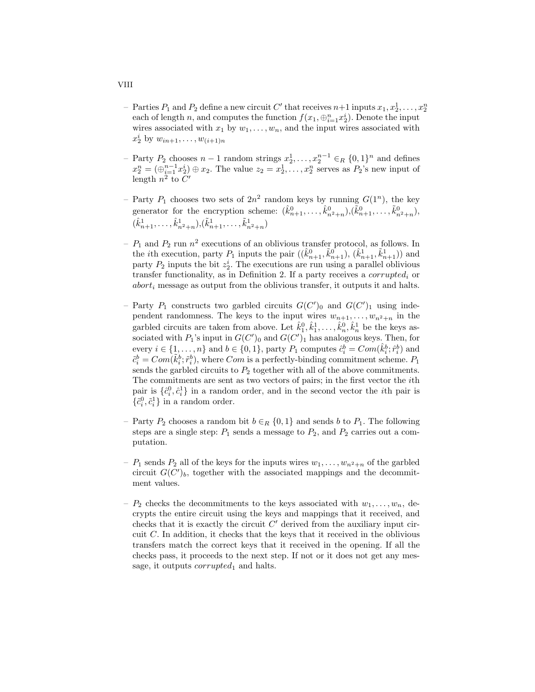- Parties  $P_1$  and  $P_2$  define a new circuit C' that receives  $n+1$  inputs  $x_1, x_2^1, \ldots, x_2^n$ each of length n, and computes the function  $f(x_1, \bigoplus_{i=1}^n x_2^i)$ . Denote the input wires associated with  $x_1$  by  $w_1, \ldots, w_n$ , and the input wires associated with  $x_2^i$  by  $w_{in+1}, \ldots, w_{(i+1)n}$
- Party  $P_2$  chooses  $n-1$  random strings  $x_2^1, \ldots, x_2^{n-1}$  ∈<sub>R</sub>  $\{0, 1\}^n$  and defines  $x_2^n = (\bigoplus_{i=1}^{n-1} x_2^i) \oplus x_2$ . The value  $z_2 = x_2^1, \ldots, x_2^n$  serves as  $P_2$ 's new input of length  $n^2$  to  $C'$
- Party  $P_1$  chooses two sets of  $2n^2$  random keys by running  $G(1^n)$ , the key generator for the encryption scheme:  $(\hat{k}_{n+1}^0, \ldots, \hat{k}_{n^2+n}^0), (\tilde{k}_{n+1}^0, \ldots, \tilde{k}_{n^2+n}^0)$ ,  $(\hat{k}_{n+1}^1, \ldots, \hat{k}_{n^2+n}^1), (\tilde{k}_{n+1}^1, \ldots, \tilde{k}_{n^2+n}^1)$
- $P_1$  and  $P_2$  run  $n^2$  executions of an oblivious transfer protocol, as follows. In the *i*th execution, party  $P_1$  inputs the pair  $((\hat{k}_{n+1}^0, \tilde{k}_{n+1}^0), (\hat{k}_{n+1}^1, \tilde{k}_{n+1}^1))$  and party  $P_2$  inputs the bit  $z_2^i$ . The executions are run using a parallel oblivious transfer functionality, as in Definition 2. If a party receives a *corrupted*<sub>i</sub> or  $abort_i$  message as output from the oblivious transfer, it outputs it and halts.
- Party  $P_1$  constructs two garbled circuits  $G(C')_0$  and  $G(C')_1$  using independent randomness. The keys to the input wires  $w_{n+1}, \ldots, w_{n^2+n}$  in the garbled circuits are taken from above. Let  $\hat{k}_1^0, \hat{k}_1^1, \dots, \hat{k}_n^0, \hat{k}_n^1$  be the keys associated with  $P_1$ 's input in  $G(C')_0$  and  $G(C')_1$  has analogous keys. Then, for every  $i \in \{1, \ldots, n\}$  and  $b \in \{0, 1\}$ , party  $P_1$  computes  $\hat{c}_i^b = Com(\hat{k}_i^b; \hat{r}_i^b)$  and  $\tilde{c}_i^b = Com(\tilde{k}_i^b; \tilde{r}_i^b)$ , where Com is a perfectly-binding commitment scheme.  $P_1$ sends the garbled circuits to  $P_2$  together with all of the above commitments. The commitments are sent as two vectors of pairs; in the first vector the ith pair is  $\{\hat{c}_i^0, \hat{c}_i^1\}$  in a random order, and in the second vector the *i*th pair is  $\{\tilde{c}_i^0, \tilde{c}_i^1\}$  in a random order.
- Party  $P_2$  chooses a random bit  $b \in_R \{0,1\}$  and sends b to  $P_1$ . The following steps are a single step:  $P_1$  sends a message to  $P_2$ , and  $P_2$  carries out a computation.
- $P_1$  sends  $P_2$  all of the keys for the inputs wires  $w_1, \ldots, w_{n^2+n}$  of the garbled circuit  $G(C')_b$ , together with the associated mappings and the decommitment values.
- $P_2$  checks the decommitments to the keys associated with  $w_1, \ldots, w_n$ , decrypts the entire circuit using the keys and mappings that it received, and checks that it is exactly the circuit  $C'$  derived from the auxiliary input circuit C. In addition, it checks that the keys that it received in the oblivious transfers match the correct keys that it received in the opening. If all the checks pass, it proceeds to the next step. If not or it does not get any message, it outputs  $corrupted_1$  and halts.

VIII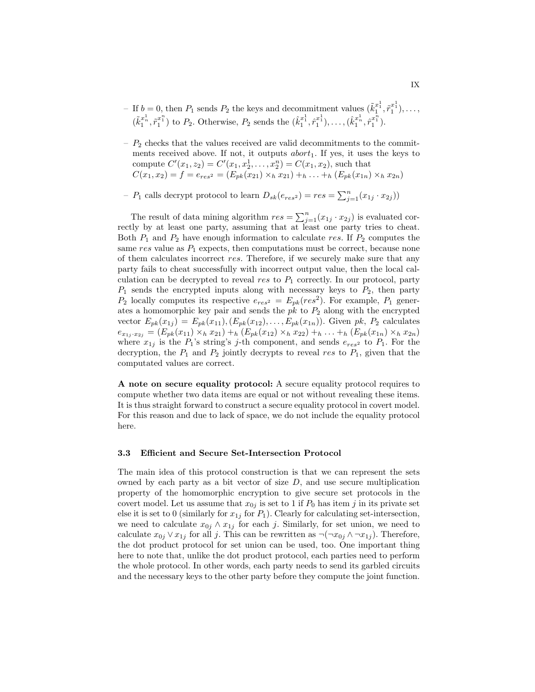- If  $b = 0$ , then  $P_1$  sends  $P_2$  the keys and decommitment values  $(\tilde{k}_1^{x_1^1}, \tilde{r}_1^{x_1^1}), \ldots,$  $(\tilde{k}_1^{x_1^1}, \tilde{r}_1^{x_1^n})$  to  $P_2$ . Otherwise,  $P_2$  sends the  $(\hat{k}_1^{x_1^1}, \hat{r}_1^{x_1^1}), \ldots, (\hat{k}_1^{x_n^1}, \hat{r}_1^{x_1^n}).$
- $P_2$  checks that the values received are valid decommitments to the commitments received above. If not, it outputs  $abort_1$ . If yes, it uses the keys to compute  $C'(x_1, z_2) = C'(x_1, x_2^1, \dots, x_2^n) = C(x_1, x_2)$ , such that  $C(x_1, x_2) = f = e_{res^2} = (E_{pk}(x_{21}) \times_h x_{21}) +_h \ldots +_h (E_{pk}(x_{1n}) \times_h x_{2n})$
- $P_1$  calls decrypt protocol to learn  $D_{sk}(e_{res}^2) = res = \sum_{j=1}^n (x_{1j} \cdot x_{2j})$

The result of data mining algorithm  $res = \sum_{j=1}^{n} (x_{1j} \cdot x_{2j})$  is evaluated correctly by at least one party, assuming that at least one party tries to cheat. Both  $P_1$  and  $P_2$  have enough information to calculate res. If  $P_2$  computes the same res value as  $P_1$  expects, then computations must be correct, because none of them calculates incorrect res. Therefore, if we securely make sure that any party fails to cheat successfully with incorrect output value, then the local calculation can be decrypted to reveal res to  $P_1$  correctly. In our protocol, party  $P_1$  sends the encrypted inputs along with necessary keys to  $P_2$ , then party  $P_2$  locally computes its respective  $e_{res^2} = E_{pk}(res^2)$ . For example,  $P_1$  generates a homomorphic key pair and sends the  $pk$  to  $P_2$  along with the encrypted vector  $E_{pk}(x_{1j}) = E_{pk}(x_{11}), (E_{pk}(x_{12}), \ldots, E_{pk}(x_{1n}))$ . Given  $pk$ ,  $P_2$  calculates  $e_{x_{1j} \cdot x_{2j}} = (E_{pk}(x_{11}) \times_h x_{21}) +_h (E_{pk}(x_{12}) \times_h x_{22}) +_h \ldots +_h (E_{pk}(x_{1n}) \times_h x_{2n})$ where  $x_{1j}$  is the  $P_1$ 's string's j-th component, and sends  $e_{res}$ <sup>2</sup> to  $P_1$ . For the decryption, the  $P_1$  and  $P_2$  jointly decrypts to reveal res to  $P_1$ , given that the computated values are correct.

A note on secure equality protocol: A secure equality protocol requires to compute whether two data items are equal or not without revealing these items. It is thus straight forward to construct a secure equality protocol in covert model. For this reason and due to lack of space, we do not include the equality protocol here.

#### 3.3 Efficient and Secure Set-Intersection Protocol

The main idea of this protocol construction is that we can represent the sets owned by each party as a bit vector of size  $D$ , and use secure multiplication property of the homomorphic encryption to give secure set protocols in the covert model. Let us assume that  $x_{0j}$  is set to 1 if  $P_0$  has item j in its private set else it is set to 0 (similarly for  $x_{1j}$  for  $P_1$ ). Clearly for calculating set-intersection, we need to calculate  $x_{0j} \wedge x_{1j}$  for each j. Similarly, for set union, we need to calculate  $x_{0j} \vee x_{1j}$  for all j. This can be rewritten as  $\neg(\neg x_{0j} \wedge \neg x_{1j})$ . Therefore, the dot product protocol for set union can be used, too. One important thing here to note that, unlike the dot product protocol, each parties need to perform the whole protocol. In other words, each party needs to send its garbled circuits and the necessary keys to the other party before they compute the joint function.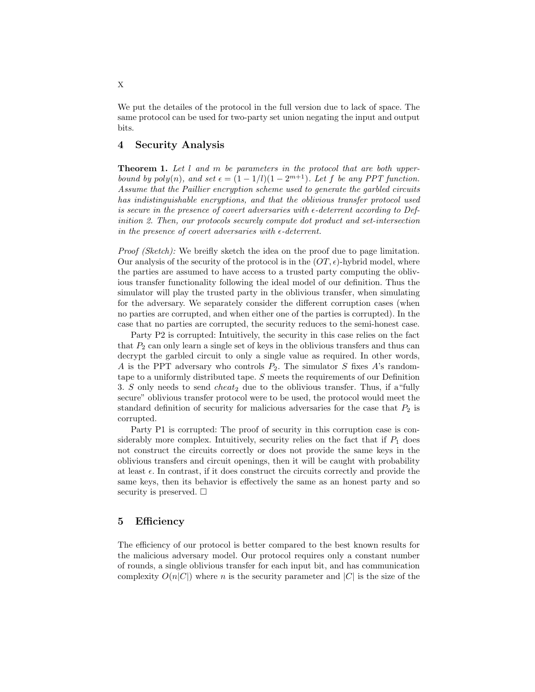We put the detailes of the protocol in the full version due to lack of space. The same protocol can be used for two-party set union negating the input and output bits.

## 4 Security Analysis

Theorem 1. Let l and m be parameters in the protocol that are both upperbound by  $poly(n)$ , and set  $\epsilon = (1 - 1/l)(1 - 2^{m+1})$ . Let f be any PPT function. Assume that the Paillier encryption scheme used to generate the garbled circuits has indistinguishable encryptions, and that the oblivious transfer protocol used is secure in the presence of covert adversaries with  $\epsilon$ -deterrent according to Definition 2. Then, our protocols securely compute dot product and set-intersection in the presence of covert adversaries with  $\epsilon$ -deterrent.

Proof (Sketch): We breifly sketch the idea on the proof due to page limitation. Our analysis of the security of the protocol is in the  $(OT, \epsilon)$ -hybrid model, where the parties are assumed to have access to a trusted party computing the oblivious transfer functionality following the ideal model of our definition. Thus the simulator will play the trusted party in the oblivious transfer, when simulating for the adversary. We separately consider the different corruption cases (when no parties are corrupted, and when either one of the parties is corrupted). In the case that no parties are corrupted, the security reduces to the semi-honest case.

Party P2 is corrupted: Intuitively, the security in this case relies on the fact that  $P_2$  can only learn a single set of keys in the oblivious transfers and thus can decrypt the garbled circuit to only a single value as required. In other words, A is the PPT adversary who controls  $P_2$ . The simulator S fixes A's randomtape to a uniformly distributed tape. S meets the requirements of our Definition 3. S only needs to send *cheat*<sub>2</sub> due to the oblivious transfer. Thus, if a "fully secure" oblivious transfer protocol were to be used, the protocol would meet the standard definition of security for malicious adversaries for the case that  $P_2$  is corrupted.

Party P1 is corrupted: The proof of security in this corruption case is considerably more complex. Intuitively, security relies on the fact that if  $P_1$  does not construct the circuits correctly or does not provide the same keys in the oblivious transfers and circuit openings, then it will be caught with probability at least  $\epsilon$ . In contrast, if it does construct the circuits correctly and provide the same keys, then its behavior is effectively the same as an honest party and so security is preserved.  $\square$ 

## 5 Efficiency

The efficiency of our protocol is better compared to the best known results for the malicious adversary model. Our protocol requires only a constant number of rounds, a single oblivious transfer for each input bit, and has communication complexity  $O(n|C|)$  where *n* is the security parameter and |C| is the size of the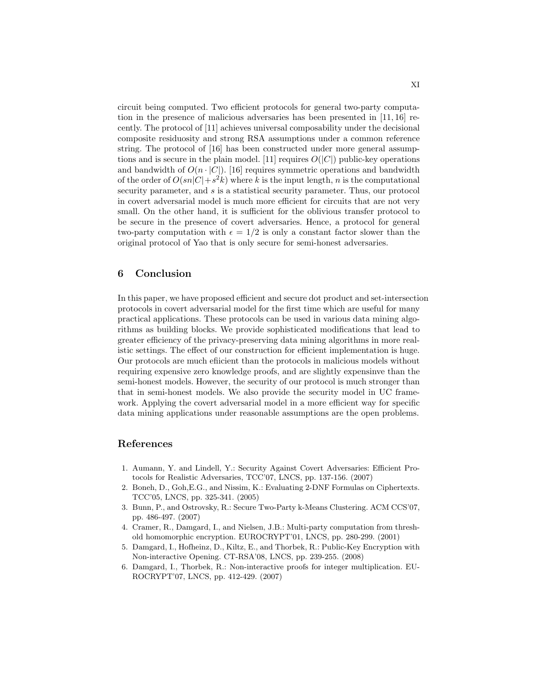circuit being computed. Two efficient protocols for general two-party computation in the presence of malicious adversaries has been presented in [11, 16] recently. The protocol of [11] achieves universal composability under the decisional composite residuosity and strong RSA assumptions under a common reference string. The protocol of [16] has been constructed under more general assumptions and is secure in the plain model. [11] requires  $O(|C|)$  public-key operations and bandwidth of  $O(n \cdot |C|)$ . [16] requires symmetric operations and bandwidth of the order of  $O(sn|C|+s^2k)$  where k is the input length, n is the computational security parameter, and s is a statistical security parameter. Thus, our protocol in covert adversarial model is much more efficient for circuits that are not very small. On the other hand, it is sufficient for the oblivious transfer protocol to be secure in the presence of covert adversaries. Hence, a protocol for general two-party computation with  $\epsilon = 1/2$  is only a constant factor slower than the original protocol of Yao that is only secure for semi-honest adversaries.

## 6 Conclusion

In this paper, we have proposed efficient and secure dot product and set-intersection protocols in covert adversarial model for the first time which are useful for many practical applications. These protocols can be used in various data mining algorithms as building blocks. We provide sophisticated modifications that lead to greater efficiency of the privacy-preserving data mining algorithms in more realistic settings. The effect of our construction for efficient implementation is huge. Our protocols are much efiicient than the protocols in malicious models without requiring expensive zero knowledge proofs, and are slightly expensinve than the semi-honest models. However, the security of our protocol is much stronger than that in semi-honest models. We also provide the security model in UC framework. Applying the covert adversarial model in a more efficient way for specific data mining applications under reasonable assumptions are the open problems.

## References

- 1. Aumann, Y. and Lindell, Y.: Security Against Covert Adversaries: Efficient Protocols for Realistic Adversaries, TCC'07, LNCS, pp. 137-156. (2007)
- 2. Boneh, D., Goh,E.G., and Nissim, K.: Evaluating 2-DNF Formulas on Ciphertexts. TCC'05, LNCS, pp. 325-341. (2005)
- 3. Bunn, P., and Ostrovsky, R.: Secure Two-Party k-Means Clustering. ACM CCS'07, pp. 486-497. (2007)
- 4. Cramer, R., Damgard, I., and Nielsen, J.B.: Multi-party computation from threshold homomorphic encryption. EUROCRYPT'01, LNCS, pp. 280-299. (2001)
- 5. Damgard, I., Hofheinz, D., Kiltz, E., and Thorbek, R.: Public-Key Encryption with Non-interactive Opening. CT-RSA'08, LNCS, pp. 239-255. (2008)
- 6. Damgard, I., Thorbek, R.: Non-interactive proofs for integer multiplication. EU-ROCRYPT'07, LNCS, pp. 412-429. (2007)